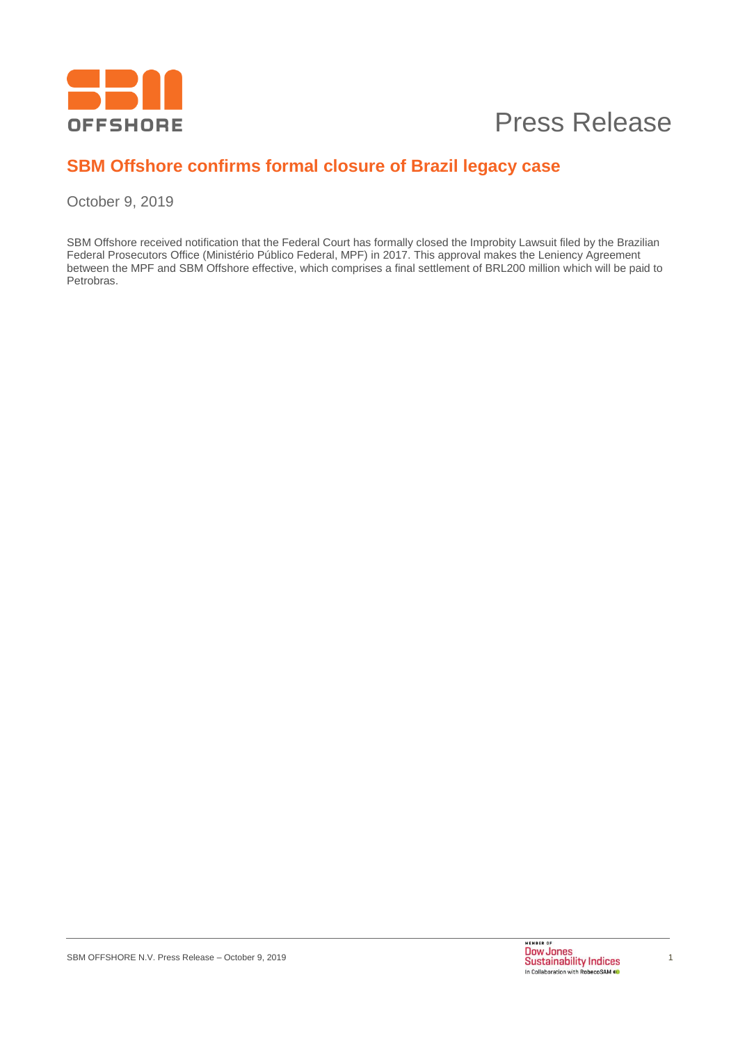

## Press Release

### **SBM Offshore confirms formal closure of Brazil legacy case**

October 9, 2019

SBM Offshore received notification that the Federal Court has formally closed the Improbity Lawsuit filed by the Brazilian Federal Prosecutors Office (Ministério Público Federal, MPF) in 2017. This approval makes the Leniency Agreement between the MPF and SBM Offshore effective, which comprises a final settlement of BRL200 million which will be paid to Petrobras.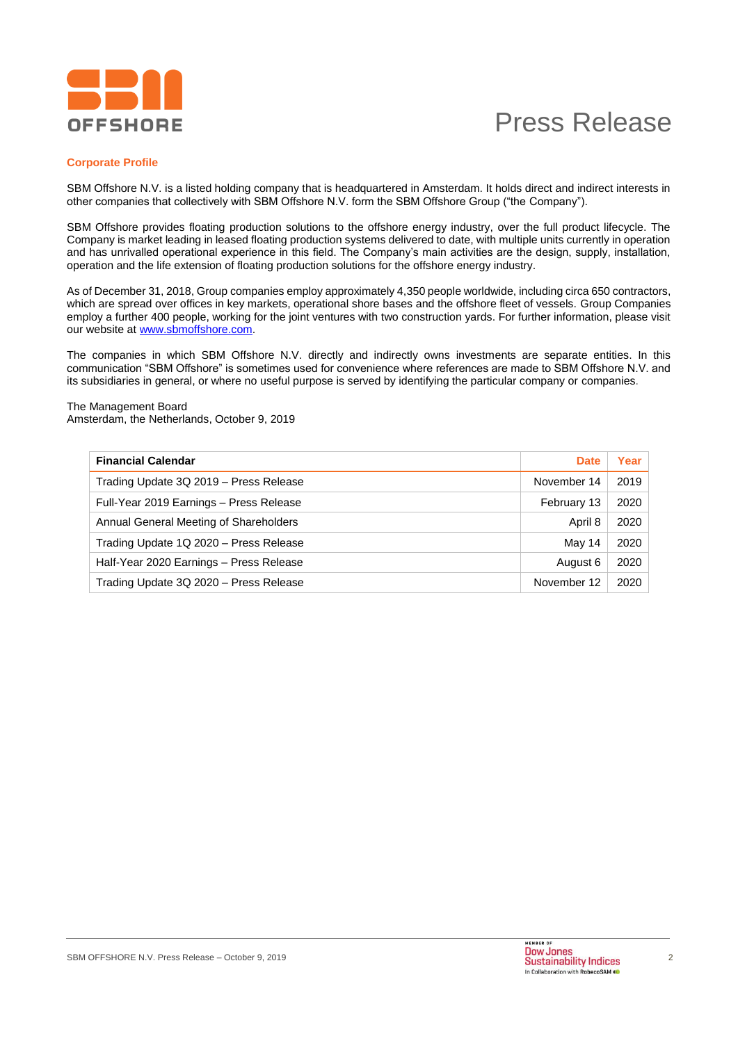

# Press Release

### **Corporate Profile**

SBM Offshore N.V. is a listed holding company that is headquartered in Amsterdam. It holds direct and indirect interests in other companies that collectively with SBM Offshore N.V. form the SBM Offshore Group ("the Company").

SBM Offshore provides floating production solutions to the offshore energy industry, over the full product lifecycle. The Company is market leading in leased floating production systems delivered to date, with multiple units currently in operation and has unrivalled operational experience in this field. The Company's main activities are the design, supply, installation, operation and the life extension of floating production solutions for the offshore energy industry.

As of December 31, 2018, Group companies employ approximately 4,350 people worldwide, including circa 650 contractors, which are spread over offices in key markets, operational shore bases and the offshore fleet of vessels. Group Companies employ a further 400 people, working for the joint ventures with two construction yards. For further information, please visit our website a[t www.sbmoffshore.com.](http://www.sbmoffshore.com/)

The companies in which SBM Offshore N.V. directly and indirectly owns investments are separate entities. In this communication "SBM Offshore" is sometimes used for convenience where references are made to SBM Offshore N.V. and its subsidiaries in general, or where no useful purpose is served by identifying the particular company or companies.

The Management Board Amsterdam, the Netherlands, October 9, 2019

| <b>Financial Calendar</b>               | <b>Date</b> | Year |
|-----------------------------------------|-------------|------|
| Trading Update 3Q 2019 - Press Release  | November 14 | 2019 |
| Full-Year 2019 Earnings - Press Release | February 13 | 2020 |
| Annual General Meeting of Shareholders  | April 8     | 2020 |
| Trading Update 1Q 2020 - Press Release  | May 14      | 2020 |
| Half-Year 2020 Earnings - Press Release | August 6    | 2020 |
| Trading Update 3Q 2020 - Press Release  | November 12 | 2020 |